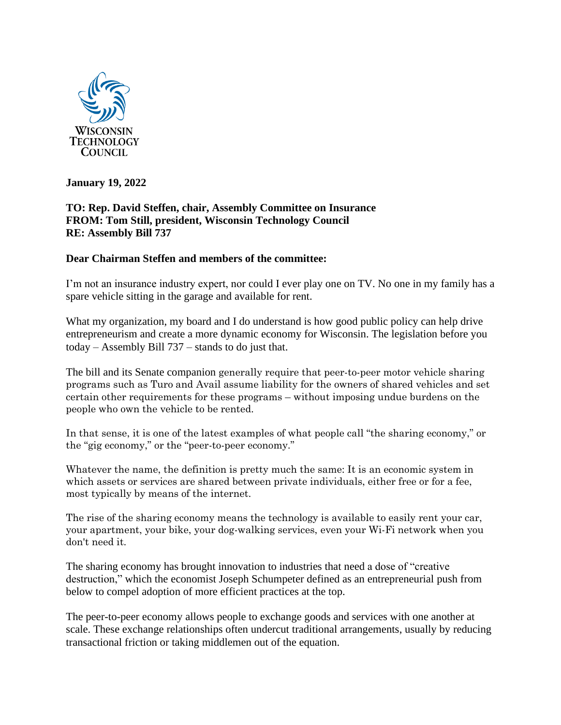

**January 19, 2022**

## **TO: Rep. David Steffen, chair, Assembly Committee on Insurance FROM: Tom Still, president, Wisconsin Technology Council RE: Assembly Bill 737**

## **Dear Chairman Steffen and members of the committee:**

I'm not an insurance industry expert, nor could I ever play one on TV. No one in my family has a spare vehicle sitting in the garage and available for rent.

What my organization, my board and I do understand is how good public policy can help drive entrepreneurism and create a more dynamic economy for Wisconsin. The legislation before you today – Assembly Bill 737 – stands to do just that.

The bill and its Senate companion generally require that peer-to-peer motor vehicle sharing programs such as Turo and Avail assume liability for the owners of shared vehicles and set certain other requirements for these programs – without imposing undue burdens on the people who own the vehicle to be rented.

In that sense, it is one of the latest examples of what people call "the sharing economy," or the "gig economy," or the "peer-to-peer economy."

Whatever the name, the definition is pretty much the same: It is an economic system in which assets or services are shared between private individuals, either free or for a fee, most typically by means of the internet.

The rise of the sharing economy means the technology is available to easily rent your car, your apartment, your bike, your dog-walking services, even your Wi-Fi network when you don't need it.

The sharing economy has brought innovation to industries that need a dose of "creative destruction," which the economist Joseph Schumpeter defined as an entrepreneurial push from below to compel adoption of more efficient practices at the top.

The peer-to-peer economy allows people to exchange goods and services with one another at scale. These exchange relationships often undercut traditional arrangements, usually by reducing transactional friction or taking middlemen out of the equation.